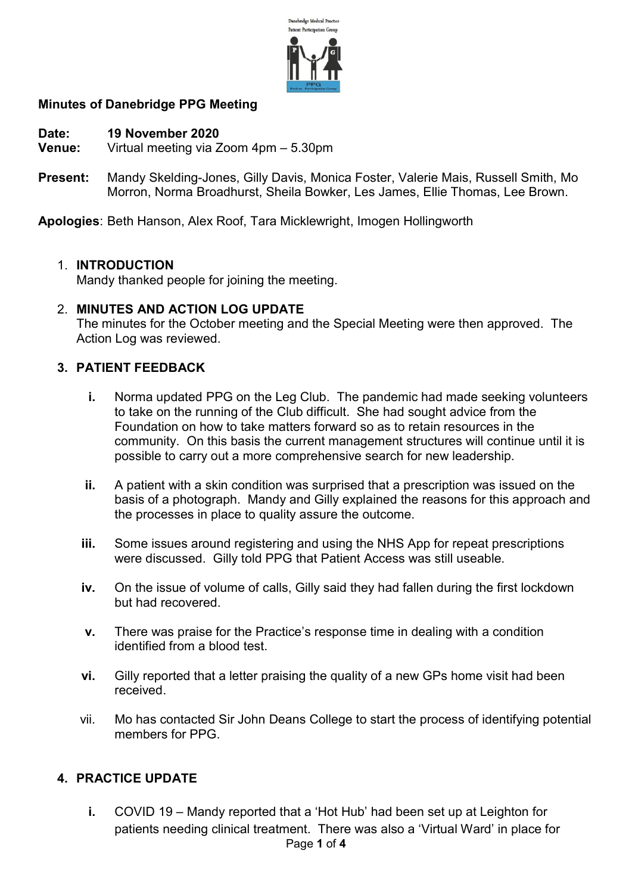

# Minutes of Danebridge PPG Meeting

- Date: 19 November 2020
- Venue: Virtual meeting via Zoom 4pm 5.30pm
- Present: Mandy Skelding-Jones, Gilly Davis, Monica Foster, Valerie Mais, Russell Smith, Mo Morron, Norma Broadhurst, Sheila Bowker, Les James, Ellie Thomas, Lee Brown.

Apologies: Beth Hanson, Alex Roof, Tara Micklewright, Imogen Hollingworth

### 1. INTRODUCTION

Mandy thanked people for joining the meeting.

## 2. MINUTES AND ACTION LOG UPDATE

The minutes for the October meeting and the Special Meeting were then approved. The Action Log was reviewed.

### 3. PATIENT FEEDBACK

- i. Norma updated PPG on the Leg Club. The pandemic had made seeking volunteers to take on the running of the Club difficult. She had sought advice from the Foundation on how to take matters forward so as to retain resources in the community. On this basis the current management structures will continue until it is possible to carry out a more comprehensive search for new leadership.
- ii. A patient with a skin condition was surprised that a prescription was issued on the basis of a photograph. Mandy and Gilly explained the reasons for this approach and the processes in place to quality assure the outcome.
- iii. Some issues around registering and using the NHS App for repeat prescriptions were discussed. Gilly told PPG that Patient Access was still useable.
- iv. On the issue of volume of calls, Gilly said they had fallen during the first lockdown but had recovered.
- v. There was praise for the Practice's response time in dealing with a condition identified from a blood test.
- vi. Gilly reported that a letter praising the quality of a new GPs home visit had been received.
- vii. Mo has contacted Sir John Deans College to start the process of identifying potential members for PPG.

### 4. PRACTICE UPDATE

Page 1 of 4 i. COVID 19 – Mandy reported that a 'Hot Hub' had been set up at Leighton for patients needing clinical treatment. There was also a 'Virtual Ward' in place for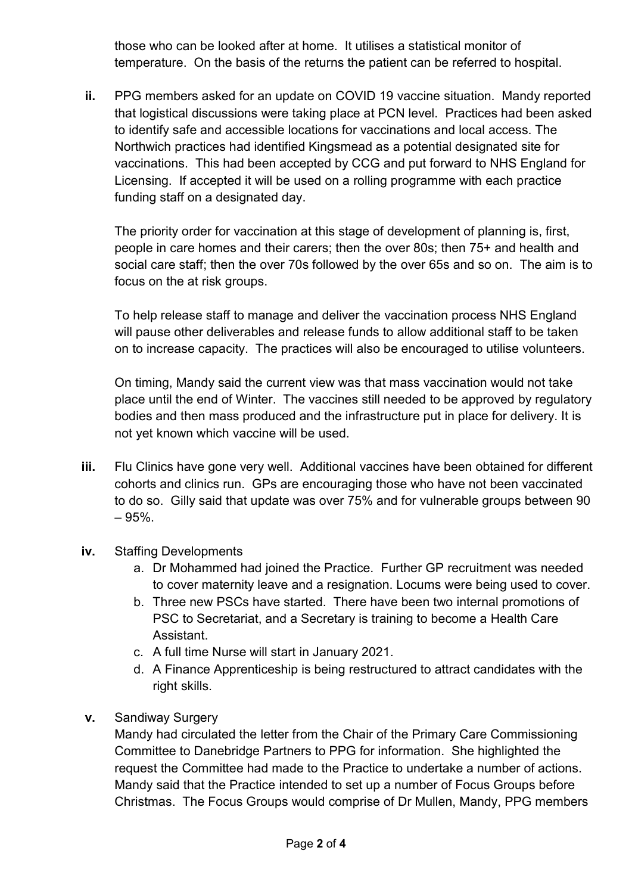those who can be looked after at home. It utilises a statistical monitor of temperature. On the basis of the returns the patient can be referred to hospital.

ii. PPG members asked for an update on COVID 19 vaccine situation. Mandy reported that logistical discussions were taking place at PCN level. Practices had been asked to identify safe and accessible locations for vaccinations and local access. The Northwich practices had identified Kingsmead as a potential designated site for vaccinations. This had been accepted by CCG and put forward to NHS England for Licensing. If accepted it will be used on a rolling programme with each practice funding staff on a designated day.

The priority order for vaccination at this stage of development of planning is, first, people in care homes and their carers; then the over 80s; then 75+ and health and social care staff; then the over 70s followed by the over 65s and so on. The aim is to focus on the at risk groups.

To help release staff to manage and deliver the vaccination process NHS England will pause other deliverables and release funds to allow additional staff to be taken on to increase capacity. The practices will also be encouraged to utilise volunteers.

On timing, Mandy said the current view was that mass vaccination would not take place until the end of Winter. The vaccines still needed to be approved by regulatory bodies and then mass produced and the infrastructure put in place for delivery. It is not yet known which vaccine will be used.

- iii. Flu Clinics have gone very well. Additional vaccines have been obtained for different cohorts and clinics run. GPs are encouraging those who have not been vaccinated to do so. Gilly said that update was over 75% and for vulnerable groups between 90 – 95%.
- iv. Staffing Developments
	- a. Dr Mohammed had joined the Practice. Further GP recruitment was needed to cover maternity leave and a resignation. Locums were being used to cover.
	- b. Three new PSCs have started. There have been two internal promotions of PSC to Secretariat, and a Secretary is training to become a Health Care Assistant.
	- c. A full time Nurse will start in January 2021.
	- d. A Finance Apprenticeship is being restructured to attract candidates with the right skills.
- v. Sandiway Surgery

Mandy had circulated the letter from the Chair of the Primary Care Commissioning Committee to Danebridge Partners to PPG for information. She highlighted the request the Committee had made to the Practice to undertake a number of actions. Mandy said that the Practice intended to set up a number of Focus Groups before Christmas. The Focus Groups would comprise of Dr Mullen, Mandy, PPG members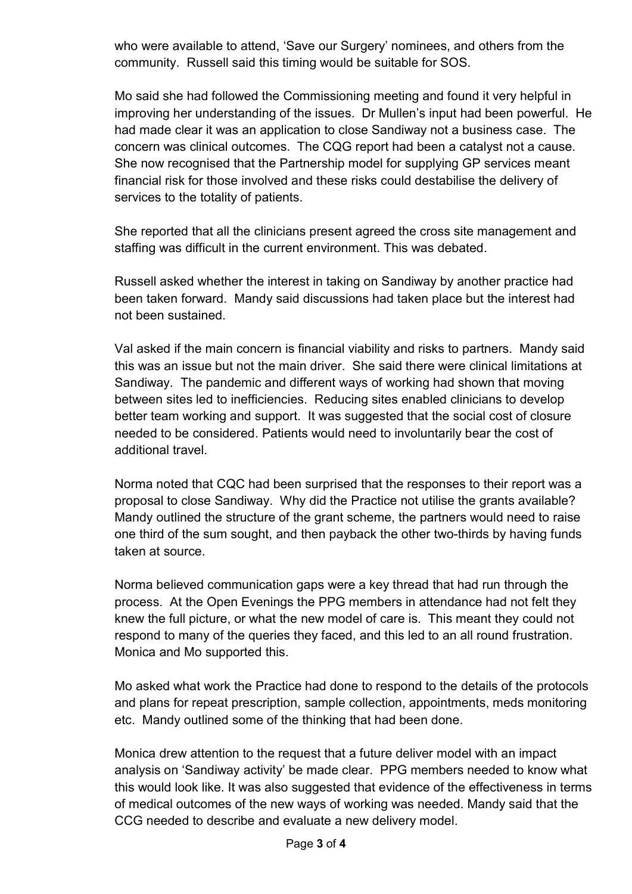who were available to attend, 'Save our Surgery' nominees, and others from the community. Russell said this timing would be suitable for SOS.

Mo said she had followed the Commissioning meeting and found it very helpful in improving her understanding of the issues. Dr Mullen's input had been powerful. He had made clear it was an application to close Sandiway not a business case. The concern was clinical outcomes. The CQG report had been a catalyst not a cause. She now recognised that the Partnership model for supplying GP services meant financial risk for those involved and these risks could destabilise the delivery of services to the totality of patients.

She reported that all the clinicians present agreed the cross site management and staffing was difficult in the current environment. This was debated.

Russell asked whether the interest in taking on Sandiway by another practice had been taken forward. Mandy said discussions had taken place but the interest had not been sustained.

Val asked if the main concern is financial viability and risks to partners. Mandy said this was an issue but not the main driver. She said there were clinical limitations at Sandiway. The pandemic and different ways of working had shown that moving between sites led to inefficiencies. Reducing sites enabled clinicians to develop better team working and support. It was suggested that the social cost of closure needed to be considered. Patients would need to involuntarily bear the cost of additional travel.

Norma noted that CQC had been surprised that the responses to their report was a proposal to close Sandiway. Why did the Practice not utilise the grants available? Mandy outlined the structure of the grant scheme, the partners would need to raise one third of the sum sought, and then payback the other two-thirds by having funds taken at source.

Norma believed communication gaps were a key thread that had run through the process. At the Open Evenings the PPG members in attendance had not felt they knew the full picture, or what the new model of care is. This meant they could not respond to many of the queries they faced, and this led to an all round frustration. Monica and Mo supported this.

Mo asked what work the Practice had done to respond to the details of the protocols and plans for repeat prescription, sample collection, appointments, meds monitoring etc. Mandy outlined some of the thinking that had been done.

Monica drew attention to the request that a future deliver model with an impact analysis on 'Sandiway activity' be made clear. PPG members needed to know what this would look like. It was also suggested that evidence of the effectiveness in terms of medical outcomes of the new ways of working was needed. Mandy said that the CCG needed to describe and evaluate a new delivery model.